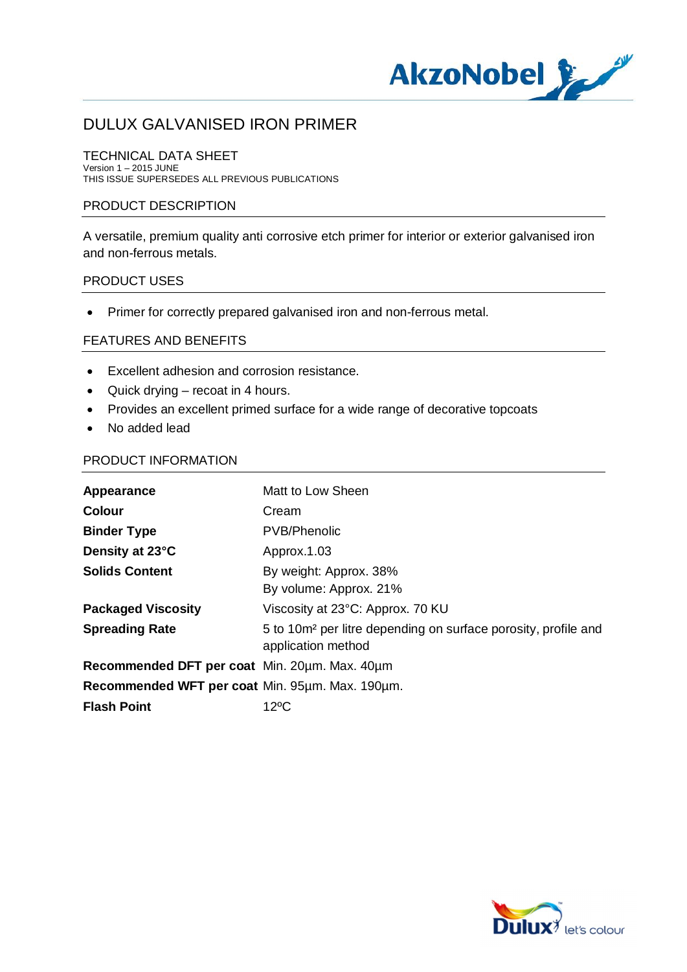

TECHNICAL DATA SHEET Version 1 – 2015 JUNE THIS ISSUE SUPERSEDES ALL PREVIOUS PUBLICATIONS

#### PRODUCT DESCRIPTION

A versatile, premium quality anti corrosive etch primer for interior or exterior galvanised iron and non-ferrous metals.

#### PRODUCT USES

· Primer for correctly prepared galvanised iron and non-ferrous metal.

#### FEATURES AND BENEFITS

- · Excellent adhesion and corrosion resistance.
- · Quick drying recoat in 4 hours.
- · Provides an excellent primed surface for a wide range of decorative topcoats
- · No added lead

#### PRODUCT INFORMATION

| Appearance                                      | Matt to Low Sheen                                                                                |
|-------------------------------------------------|--------------------------------------------------------------------------------------------------|
| <b>Colour</b>                                   | Cream                                                                                            |
| <b>Binder Type</b>                              | <b>PVB/Phenolic</b>                                                                              |
| Density at 23°C                                 | Approx.1.03                                                                                      |
| <b>Solids Content</b>                           | By weight: Approx. 38%<br>By volume: Approx. 21%                                                 |
| <b>Packaged Viscosity</b>                       | Viscosity at 23°C: Approx. 70 KU                                                                 |
| <b>Spreading Rate</b>                           | 5 to 10m <sup>2</sup> per litre depending on surface porosity, profile and<br>application method |
| Recommended DFT per coat Min. 20um. Max. 40um   |                                                                                                  |
| Recommended WFT per coat Min. 95µm. Max. 190µm. |                                                                                                  |
| <b>Flash Point</b>                              | 12ºC                                                                                             |

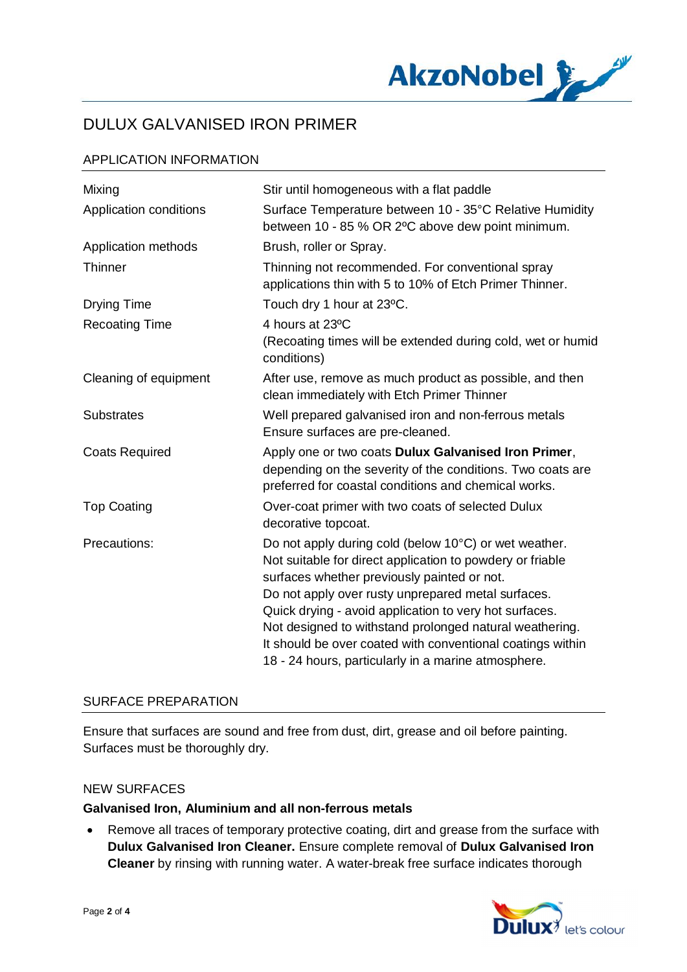

#### APPLICATION INFORMATION

| Mixing                 | Stir until homogeneous with a flat paddle                                                                                                                                                                                                                                                                                                                                                                                                                         |
|------------------------|-------------------------------------------------------------------------------------------------------------------------------------------------------------------------------------------------------------------------------------------------------------------------------------------------------------------------------------------------------------------------------------------------------------------------------------------------------------------|
| Application conditions | Surface Temperature between 10 - 35°C Relative Humidity<br>between 10 - 85 % OR 2°C above dew point minimum.                                                                                                                                                                                                                                                                                                                                                      |
| Application methods    | Brush, roller or Spray.                                                                                                                                                                                                                                                                                                                                                                                                                                           |
| Thinner                | Thinning not recommended. For conventional spray<br>applications thin with 5 to 10% of Etch Primer Thinner.                                                                                                                                                                                                                                                                                                                                                       |
| <b>Drying Time</b>     | Touch dry 1 hour at 23°C.                                                                                                                                                                                                                                                                                                                                                                                                                                         |
| <b>Recoating Time</b>  | 4 hours at 23°C<br>(Recoating times will be extended during cold, wet or humid<br>conditions)                                                                                                                                                                                                                                                                                                                                                                     |
| Cleaning of equipment  | After use, remove as much product as possible, and then<br>clean immediately with Etch Primer Thinner                                                                                                                                                                                                                                                                                                                                                             |
| <b>Substrates</b>      | Well prepared galvanised iron and non-ferrous metals<br>Ensure surfaces are pre-cleaned.                                                                                                                                                                                                                                                                                                                                                                          |
| <b>Coats Required</b>  | Apply one or two coats Dulux Galvanised Iron Primer,<br>depending on the severity of the conditions. Two coats are<br>preferred for coastal conditions and chemical works.                                                                                                                                                                                                                                                                                        |
| <b>Top Coating</b>     | Over-coat primer with two coats of selected Dulux<br>decorative topcoat.                                                                                                                                                                                                                                                                                                                                                                                          |
| Precautions:           | Do not apply during cold (below 10°C) or wet weather.<br>Not suitable for direct application to powdery or friable<br>surfaces whether previously painted or not.<br>Do not apply over rusty unprepared metal surfaces.<br>Quick drying - avoid application to very hot surfaces.<br>Not designed to withstand prolonged natural weathering.<br>It should be over coated with conventional coatings within<br>18 - 24 hours, particularly in a marine atmosphere. |

#### SURFACE PREPARATION

Ensure that surfaces are sound and free from dust, dirt, grease and oil before painting. Surfaces must be thoroughly dry.

#### NEW SURFACES

#### **Galvanised Iron, Aluminium and all non-ferrous metals**

· Remove all traces of temporary protective coating, dirt and grease from the surface with **Dulux Galvanised Iron Cleaner.** Ensure complete removal of **Dulux Galvanised Iron Cleaner** by rinsing with running water. A water-break free surface indicates thorough

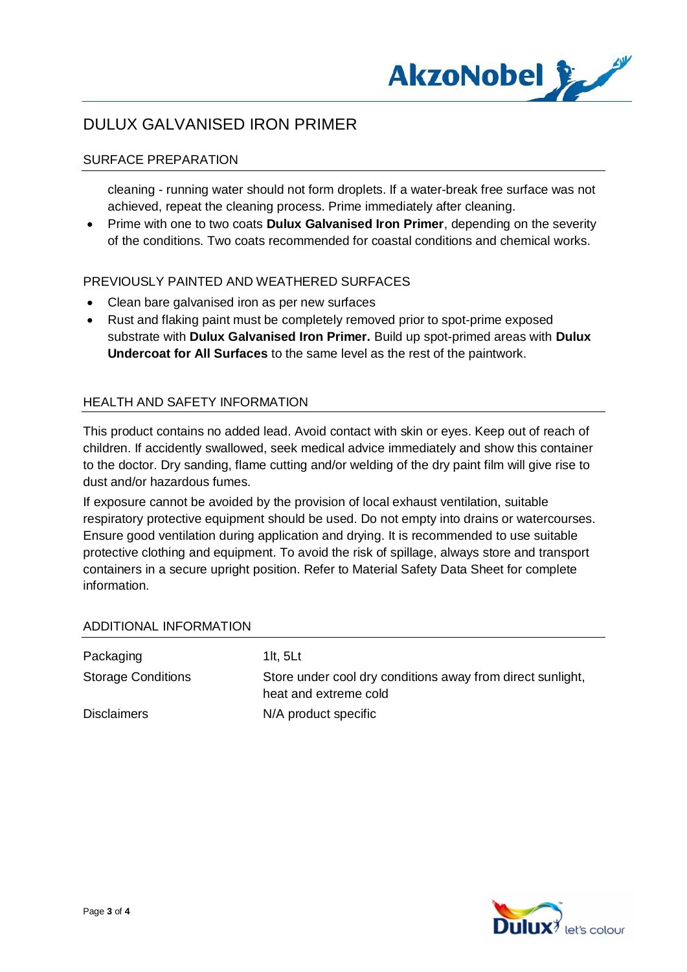

#### SURFACE PREPARATION

cleaning - running water should not form droplets. If a water-break free surface was not achieved, repeat the cleaning process. Prime immediately after cleaning.

· Prime with one to two coats **Dulux Galvanised Iron Primer**, depending on the severity of the conditions. Two coats recommended for coastal conditions and chemical works.

#### PREVIOUSLY PAINTED AND WEATHERED SURFACES

- · Clean bare galvanised iron as per new surfaces
- · Rust and flaking paint must be completely removed prior to spot-prime exposed substrate with **Dulux Galvanised Iron Primer.** Build up spot-primed areas with **Dulux Undercoat for All Surfaces** to the same level as the rest of the paintwork.

#### HEALTH AND SAFETY INFORMATION

This product contains no added lead. Avoid contact with skin or eyes. Keep out of reach of children. If accidently swallowed, seek medical advice immediately and show this container to the doctor. Dry sanding, flame cutting and/or welding of the dry paint film will give rise to dust and/or hazardous fumes.

If exposure cannot be avoided by the provision of local exhaust ventilation, suitable respiratory protective equipment should be used. Do not empty into drains or watercourses. Ensure good ventilation during application and drying. It is recommended to use suitable protective clothing and equipment. To avoid the risk of spillage, always store and transport containers in a secure upright position. Refer to Material Safety Data Sheet for complete information.

#### ADDITIONAL INFORMATION

| Packaging                 | 1 $t$ , 5 $Lt$                                                                      |
|---------------------------|-------------------------------------------------------------------------------------|
| <b>Storage Conditions</b> | Store under cool dry conditions away from direct sunlight,<br>heat and extreme cold |
| <b>Disclaimers</b>        | N/A product specific                                                                |